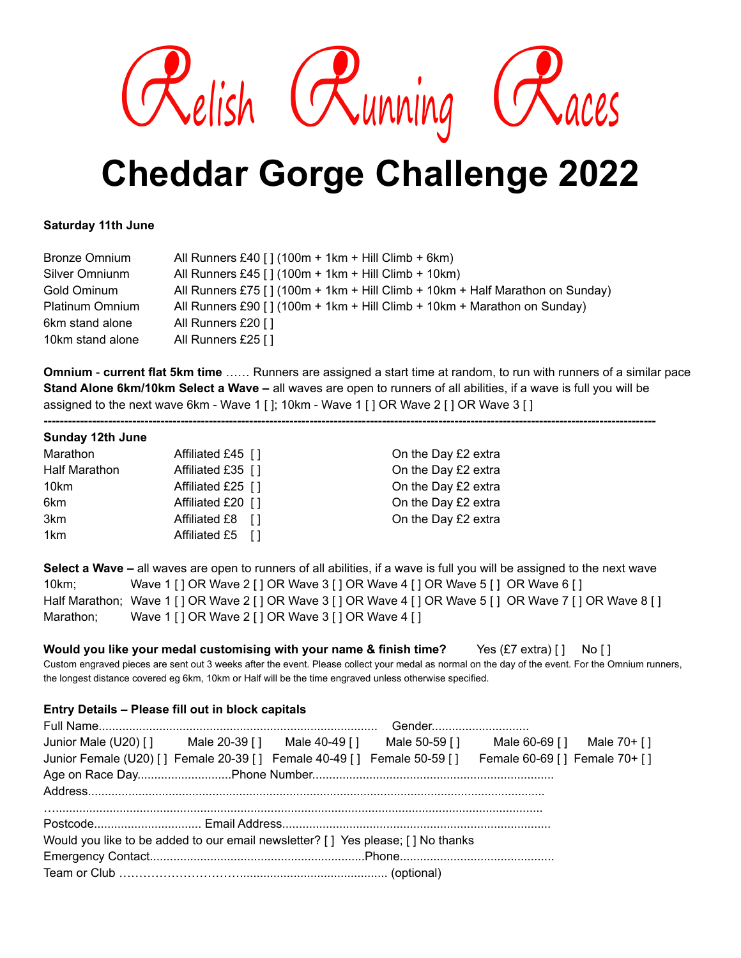

# **Cheddar Gorge Challenge 2022**

## **Saturday 11th June**

| <b>Bronze Omnium</b> | All Runners £40 [] $(100m + 1km + Hill Climb + 6km)$                          |
|----------------------|-------------------------------------------------------------------------------|
| Silver Omniunm       | All Runners £45 [] $(100m + 1km + Hill Climb + 10km)$                         |
| Gold Ominum          | All Runners £75 [] (100m + 1km + Hill Climb + 10km + Half Marathon on Sunday) |
| Platinum Omnium      | All Runners £90 [] (100m + 1km + Hill Climb + 10km + Marathon on Sunday)      |
| 6km stand alone      | All Runners £20 []                                                            |
| 10km stand alone     | All Runners £25 []                                                            |

**Omnium** - **current flat 5km time** …… Runners are assigned a start time at random, to run with runners of a similar pace **Stand Alone 6km/10km Select a Wave –** all waves are open to runners of all abilities, if a wave is full you will be assigned to the next wave 6km - Wave 1 [ ]; 10km - Wave 1 [ ] OR Wave 2 [ ] OR Wave 3 [ ]

**--------------------------------------------------------------------------------------------------------------------------------------------------------**

## **Sunday 12th June**

| Marathon             | Affiliated £45 [] | On the Day £2 extra |
|----------------------|-------------------|---------------------|
| <b>Half Marathon</b> | Affiliated £35 [] | On the Day £2 extra |
| 10km                 | Affiliated £25 [] | On the Day £2 extra |
| 6km                  | Affiliated £20 [] | On the Day £2 extra |
| 3km                  | Affiliated £8 []  | On the Day £2 extra |
| 1km                  | Affiliated £5 []  |                     |
|                      |                   |                     |

**Select a Wave –** all waves are open to runners of all abilities, if a wave is full you will be assigned to the next wave 10km; Wave 1 [ ] OR Wave 2 [ ] OR Wave 3 [ ] OR Wave 4 [ ] OR Wave 5 [ ] OR Wave 6 [ ] Half Marathon; Wave 1 [ ] OR Wave 2 [ ] OR Wave 3 [ ] OR Wave 4 [ ] OR Wave 5 [ ] OR Wave 7 [ ] OR Wave 8 [ ] Marathon; Wave 1 [ ] OR Wave 2 [ ] OR Wave 3 [ ] OR Wave 4 [ ]

**Would you like your medal customising with your name & finish time?** Yes (£7 extra) [ ] No [ ] Custom engraved pieces are sent out 3 weeks after the event. Please collect your medal as normal on the day of the event. For the Omnium runners, the longest distance covered eg 6km, 10km or Half will be the time engraved unless otherwise specified.

## **Entry Details – Please fill out in block capitals**

| Junior Male (U20) [] Male 20-39 [] Male 40-49 [] Male 50-59 [] Male 60-69 [] Male 70+ []             |  |  |  |  |  |  |
|------------------------------------------------------------------------------------------------------|--|--|--|--|--|--|
| Junior Female (U20) [] Female 20-39 [] Female 40-49 [] Female 50-59 [] Female 60-69 [] Female 70+ [] |  |  |  |  |  |  |
|                                                                                                      |  |  |  |  |  |  |
|                                                                                                      |  |  |  |  |  |  |
|                                                                                                      |  |  |  |  |  |  |
| Would you like to be added to our email newsletter? [] Yes please; [] No thanks                      |  |  |  |  |  |  |
|                                                                                                      |  |  |  |  |  |  |
|                                                                                                      |  |  |  |  |  |  |